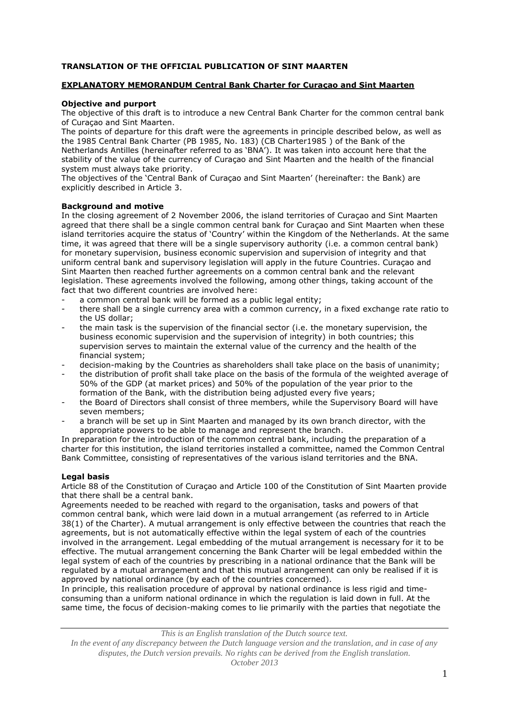# **TRANSLATION OF THE OFFICIAL PUBLICATION OF SINT MAARTEN**

## **EXPLANATORY MEMORANDUM Central Bank Charter for Curaçao and Sint Maarten**

## **Objective and purport**

The objective of this draft is to introduce a new Central Bank Charter for the common central bank of Curaçao and Sint Maarten.

The points of departure for this draft were the agreements in principle described below, as well as the 1985 Central Bank Charter (PB 1985, No. 183) (CB Charter1985 ) of the Bank of the Netherlands Antilles (hereinafter referred to as 'BNA'). It was taken into account here that the stability of the value of the currency of Curaçao and Sint Maarten and the health of the financial system must always take priority.

The objectives of the 'Central Bank of Curaçao and Sint Maarten' (hereinafter: the Bank) are explicitly described in Article 3.

## **Background and motive**

In the closing agreement of 2 November 2006, the island territories of Curaçao and Sint Maarten agreed that there shall be a single common central bank for Curaçao and Sint Maarten when these island territories acquire the status of 'Country' within the Kingdom of the Netherlands. At the same time, it was agreed that there will be a single supervisory authority (i.e. a common central bank) for monetary supervision, business economic supervision and supervision of integrity and that uniform central bank and supervisory legislation will apply in the future Countries. Curaçao and Sint Maarten then reached further agreements on a common central bank and the relevant legislation. These agreements involved the following, among other things, taking account of the fact that two different countries are involved here:

- a common central bank will be formed as a public legal entity;
- there shall be a single currency area with a common currency, in a fixed exchange rate ratio to the US dollar;
- the main task is the supervision of the financial sector (i.e. the monetary supervision, the business economic supervision and the supervision of integrity) in both countries; this supervision serves to maintain the external value of the currency and the health of the financial system;
- decision-making by the Countries as shareholders shall take place on the basis of unanimity;
- the distribution of profit shall take place on the basis of the formula of the weighted average of 50% of the GDP (at market prices) and 50% of the population of the year prior to the formation of the Bank, with the distribution being adjusted every five years;
- the Board of Directors shall consist of three members, while the Supervisory Board will have seven members;
- a branch will be set up in Sint Maarten and managed by its own branch director, with the appropriate powers to be able to manage and represent the branch.

In preparation for the introduction of the common central bank, including the preparation of a charter for this institution, the island territories installed a committee, named the Common Central Bank Committee, consisting of representatives of the various island territories and the BNA.

# **Legal basis**

Article 88 of the Constitution of Curaçao and Article 100 of the Constitution of Sint Maarten provide that there shall be a central bank.

Agreements needed to be reached with regard to the organisation, tasks and powers of that common central bank, which were laid down in a mutual arrangement (as referred to in Article 38(1) of the Charter). A mutual arrangement is only effective between the countries that reach the agreements, but is not automatically effective within the legal system of each of the countries involved in the arrangement. Legal embedding of the mutual arrangement is necessary for it to be effective. The mutual arrangement concerning the Bank Charter will be legal embedded within the legal system of each of the countries by prescribing in a national ordinance that the Bank will be regulated by a mutual arrangement and that this mutual arrangement can only be realised if it is approved by national ordinance (by each of the countries concerned).

In principle, this realisation procedure of approval by national ordinance is less rigid and timeconsuming than a uniform national ordinance in which the regulation is laid down in full. At the same time, the focus of decision-making comes to lie primarily with the parties that negotiate the

*This is an English translation of the Dutch source text.*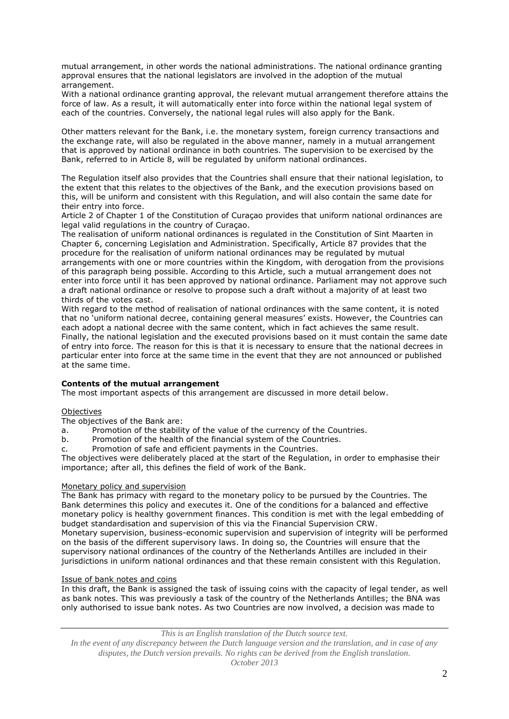mutual arrangement, in other words the national administrations. The national ordinance granting approval ensures that the national legislators are involved in the adoption of the mutual arrangement.

With a national ordinance granting approval, the relevant mutual arrangement therefore attains the force of law. As a result, it will automatically enter into force within the national legal system of each of the countries. Conversely, the national legal rules will also apply for the Bank.

Other matters relevant for the Bank, i.e. the monetary system, foreign currency transactions and the exchange rate, will also be regulated in the above manner, namely in a mutual arrangement that is approved by national ordinance in both countries. The supervision to be exercised by the Bank, referred to in Article 8, will be regulated by uniform national ordinances.

The Regulation itself also provides that the Countries shall ensure that their national legislation, to the extent that this relates to the objectives of the Bank, and the execution provisions based on this, will be uniform and consistent with this Regulation, and will also contain the same date for their entry into force.

Article 2 of Chapter 1 of the Constitution of Curaçao provides that uniform national ordinances are legal valid regulations in the country of Curaçao.

The realisation of uniform national ordinances is regulated in the Constitution of Sint Maarten in Chapter 6, concerning Legislation and Administration. Specifically, Article 87 provides that the procedure for the realisation of uniform national ordinances may be regulated by mutual arrangements with one or more countries within the Kingdom, with derogation from the provisions of this paragraph being possible. According to this Article, such a mutual arrangement does not enter into force until it has been approved by national ordinance. Parliament may not approve such a draft national ordinance or resolve to propose such a draft without a majority of at least two thirds of the votes cast.

With regard to the method of realisation of national ordinances with the same content, it is noted that no 'uniform national decree, containing general measures' exists. However, the Countries can each adopt a national decree with the same content, which in fact achieves the same result. Finally, the national legislation and the executed provisions based on it must contain the same date of entry into force. The reason for this is that it is necessary to ensure that the national decrees in particular enter into force at the same time in the event that they are not announced or published at the same time.

# **Contents of the mutual arrangement**

The most important aspects of this arrangement are discussed in more detail below.

## **Objectives**

The objectives of the Bank are:

a. Promotion of the stability of the value of the currency of the Countries.

b. Promotion of the health of the financial system of the Countries.

c. Promotion of safe and efficient payments in the Countries.

The objectives were deliberately placed at the start of the Regulation, in order to emphasise their importance; after all, this defines the field of work of the Bank.

## Monetary policy and supervision

The Bank has primacy with regard to the monetary policy to be pursued by the Countries. The Bank determines this policy and executes it. One of the conditions for a balanced and effective monetary policy is healthy government finances. This condition is met with the legal embedding of budget standardisation and supervision of this via the Financial Supervision CRW.

Monetary supervision, business-economic supervision and supervision of integrity will be performed on the basis of the different supervisory laws. In doing so, the Countries will ensure that the supervisory national ordinances of the country of the Netherlands Antilles are included in their jurisdictions in uniform national ordinances and that these remain consistent with this Regulation.

## Issue of bank notes and coins

In this draft, the Bank is assigned the task of issuing coins with the capacity of legal tender, as well as bank notes. This was previously a task of the country of the Netherlands Antilles; the BNA was only authorised to issue bank notes. As two Countries are now involved, a decision was made to

*This is an English translation of the Dutch source text.*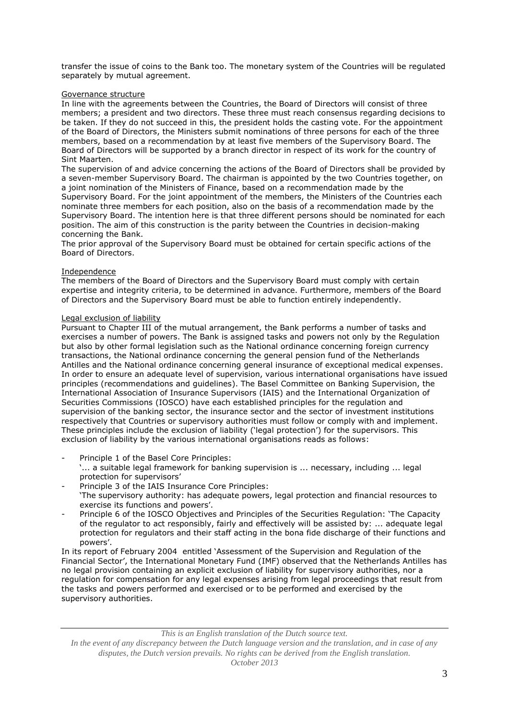transfer the issue of coins to the Bank too. The monetary system of the Countries will be regulated separately by mutual agreement.

## Governance structure

In line with the agreements between the Countries, the Board of Directors will consist of three members; a president and two directors. These three must reach consensus regarding decisions to be taken. If they do not succeed in this, the president holds the casting vote. For the appointment of the Board of Directors, the Ministers submit nominations of three persons for each of the three members, based on a recommendation by at least five members of the Supervisory Board. The Board of Directors will be supported by a branch director in respect of its work for the country of Sint Maarten.

The supervision of and advice concerning the actions of the Board of Directors shall be provided by a seven-member Supervisory Board. The chairman is appointed by the two Countries together, on a joint nomination of the Ministers of Finance, based on a recommendation made by the Supervisory Board. For the joint appointment of the members, the Ministers of the Countries each nominate three members for each position, also on the basis of a recommendation made by the Supervisory Board. The intention here is that three different persons should be nominated for each position. The aim of this construction is the parity between the Countries in decision-making concerning the Bank.

The prior approval of the Supervisory Board must be obtained for certain specific actions of the Board of Directors.

### Independence

The members of the Board of Directors and the Supervisory Board must comply with certain expertise and integrity criteria, to be determined in advance. Furthermore, members of the Board of Directors and the Supervisory Board must be able to function entirely independently.

### Legal exclusion of liability

Pursuant to Chapter III of the mutual arrangement, the Bank performs a number of tasks and exercises a number of powers. The Bank is assigned tasks and powers not only by the Regulation but also by other formal legislation such as the National ordinance concerning foreign currency transactions, the National ordinance concerning the general pension fund of the Netherlands Antilles and the National ordinance concerning general insurance of exceptional medical expenses. In order to ensure an adequate level of supervision, various international organisations have issued principles (recommendations and guidelines). The Basel Committee on Banking Supervision, the International Association of Insurance Supervisors (IAIS) and the International Organization of Securities Commissions (IOSCO) have each established principles for the regulation and supervision of the banking sector, the insurance sector and the sector of investment institutions respectively that Countries or supervisory authorities must follow or comply with and implement. These principles include the exclusion of liability ('legal protection') for the supervisors. This exclusion of liability by the various international organisations reads as follows:

- Principle 1 of the Basel Core Principles:
	- '... a suitable legal framework for banking supervision is ... necessary, including ... legal protection for supervisors'
- Principle 3 of the IAIS Insurance Core Principles:
- 'The supervisory authority: has adequate powers, legal protection and financial resources to exercise its functions and powers'.
- Principle 6 of the IOSCO Objectives and Principles of the Securities Regulation: 'The Capacity of the regulator to act responsibly, fairly and effectively will be assisted by: ... adequate legal protection for regulators and their staff acting in the bona fide discharge of their functions and powers'.

In its report of February 2004 entitled 'Assessment of the Supervision and Regulation of the Financial Sector', the International Monetary Fund (IMF) observed that the Netherlands Antilles has no legal provision containing an explicit exclusion of liability for supervisory authorities, nor a regulation for compensation for any legal expenses arising from legal proceedings that result from the tasks and powers performed and exercised or to be performed and exercised by the supervisory authorities.

*This is an English translation of the Dutch source text.*

*In the event of any discrepancy between the Dutch language version and the translation, and in case of any disputes, the Dutch version prevails. No rights can be derived from the English translation.*

*October 2013*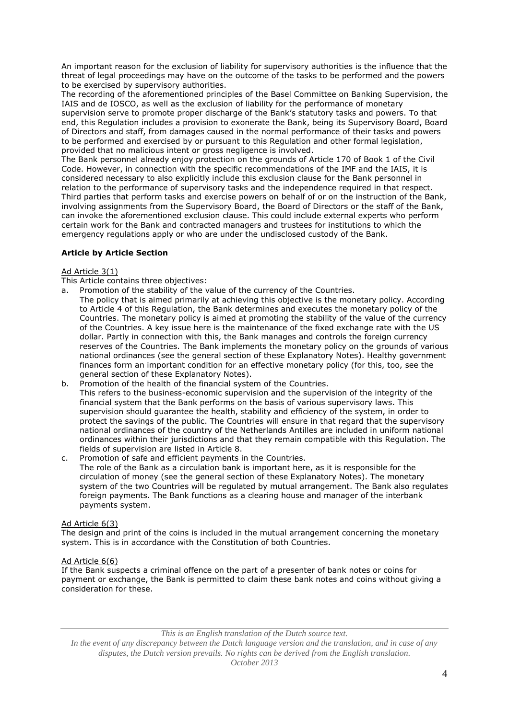An important reason for the exclusion of liability for supervisory authorities is the influence that the threat of legal proceedings may have on the outcome of the tasks to be performed and the powers to be exercised by supervisory authorities.

The recording of the aforementioned principles of the Basel Committee on Banking Supervision, the IAIS and de IOSCO, as well as the exclusion of liability for the performance of monetary supervision serve to promote proper discharge of the Bank's statutory tasks and powers. To that end, this Regulation includes a provision to exonerate the Bank, being its Supervisory Board, Board of Directors and staff, from damages caused in the normal performance of their tasks and powers to be performed and exercised by or pursuant to this Regulation and other formal legislation, provided that no malicious intent or gross negligence is involved.

The Bank personnel already enjoy protection on the grounds of Article 170 of Book 1 of the Civil Code. However, in connection with the specific recommendations of the IMF and the IAIS, it is considered necessary to also explicitly include this exclusion clause for the Bank personnel in relation to the performance of supervisory tasks and the independence required in that respect. Third parties that perform tasks and exercise powers on behalf of or on the instruction of the Bank, involving assignments from the Supervisory Board, the Board of Directors or the staff of the Bank, can invoke the aforementioned exclusion clause. This could include external experts who perform certain work for the Bank and contracted managers and trustees for institutions to which the emergency regulations apply or who are under the undisclosed custody of the Bank.

# **Article by Article Section**

# Ad Article 3(1)

- This Article contains three objectives:
- a. Promotion of the stability of the value of the currency of the Countries. The policy that is aimed primarily at achieving this objective is the monetary policy. According
	- to Article 4 of this Regulation, the Bank determines and executes the monetary policy of the Countries. The monetary policy is aimed at promoting the stability of the value of the currency of the Countries. A key issue here is the maintenance of the fixed exchange rate with the US dollar. Partly in connection with this, the Bank manages and controls the foreign currency reserves of the Countries. The Bank implements the monetary policy on the grounds of various national ordinances (see the general section of these Explanatory Notes). Healthy government finances form an important condition for an effective monetary policy (for this, too, see the general section of these Explanatory Notes).
- b. Promotion of the health of the financial system of the Countries. This refers to the business-economic supervision and the supervision of the integrity of the financial system that the Bank performs on the basis of various supervisory laws. This supervision should guarantee the health, stability and efficiency of the system, in order to protect the savings of the public. The Countries will ensure in that regard that the supervisory national ordinances of the country of the Netherlands Antilles are included in uniform national ordinances within their jurisdictions and that they remain compatible with this Regulation. The fields of supervision are listed in Article 8.
- c. Promotion of safe and efficient payments in the Countries. The role of the Bank as a circulation bank is important here, as it is responsible for the circulation of money (see the general section of these Explanatory Notes). The monetary system of the two Countries will be regulated by mutual arrangement. The Bank also regulates foreign payments. The Bank functions as a clearing house and manager of the interbank payments system.

# Ad Article 6(3)

The design and print of the coins is included in the mutual arrangement concerning the monetary system. This is in accordance with the Constitution of both Countries.

# Ad Article 6(6)

If the Bank suspects a criminal offence on the part of a presenter of bank notes or coins for payment or exchange, the Bank is permitted to claim these bank notes and coins without giving a consideration for these.

*This is an English translation of the Dutch source text.*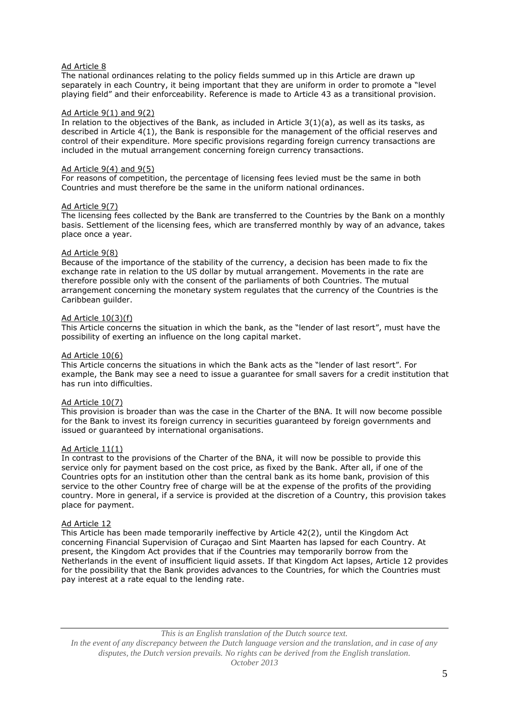## Ad Article 8

The national ordinances relating to the policy fields summed up in this Article are drawn up separately in each Country, it being important that they are uniform in order to promote a "level playing field" and their enforceability. Reference is made to Article 43 as a transitional provision.

#### Ad Article 9(1) and 9(2)

In relation to the objectives of the Bank, as included in Article 3(1)(a), as well as its tasks, as described in Article 4(1), the Bank is responsible for the management of the official reserves and control of their expenditure. More specific provisions regarding foreign currency transactions are included in the mutual arrangement concerning foreign currency transactions.

#### Ad Article  $9(4)$  and  $9(5)$

For reasons of competition, the percentage of licensing fees levied must be the same in both Countries and must therefore be the same in the uniform national ordinances.

### Ad Article 9(7)

The licensing fees collected by the Bank are transferred to the Countries by the Bank on a monthly basis. Settlement of the licensing fees, which are transferred monthly by way of an advance, takes place once a year.

## Ad Article 9(8)

Because of the importance of the stability of the currency, a decision has been made to fix the exchange rate in relation to the US dollar by mutual arrangement. Movements in the rate are therefore possible only with the consent of the parliaments of both Countries. The mutual arrangement concerning the monetary system regulates that the currency of the Countries is the Caribbean guilder.

### Ad Article 10(3)(f)

This Article concerns the situation in which the bank, as the "lender of last resort", must have the possibility of exerting an influence on the long capital market.

### Ad Article 10(6)

This Article concerns the situations in which the Bank acts as the "lender of last resort". For example, the Bank may see a need to issue a guarantee for small savers for a credit institution that has run into difficulties.

## Ad Article 10(7)

This provision is broader than was the case in the Charter of the BNA. It will now become possible for the Bank to invest its foreign currency in securities guaranteed by foreign governments and issued or guaranteed by international organisations.

#### Ad Article 11(1)

In contrast to the provisions of the Charter of the BNA, it will now be possible to provide this service only for payment based on the cost price, as fixed by the Bank. After all, if one of the Countries opts for an institution other than the central bank as its home bank, provision of this service to the other Country free of charge will be at the expense of the profits of the providing country. More in general, if a service is provided at the discretion of a Country, this provision takes place for payment.

#### Ad Article 12

This Article has been made temporarily ineffective by Article 42(2), until the Kingdom Act concerning Financial Supervision of Curaçao and Sint Maarten has lapsed for each Country. At present, the Kingdom Act provides that if the Countries may temporarily borrow from the Netherlands in the event of insufficient liquid assets. If that Kingdom Act lapses, Article 12 provides for the possibility that the Bank provides advances to the Countries, for which the Countries must pay interest at a rate equal to the lending rate.

*This is an English translation of the Dutch source text.*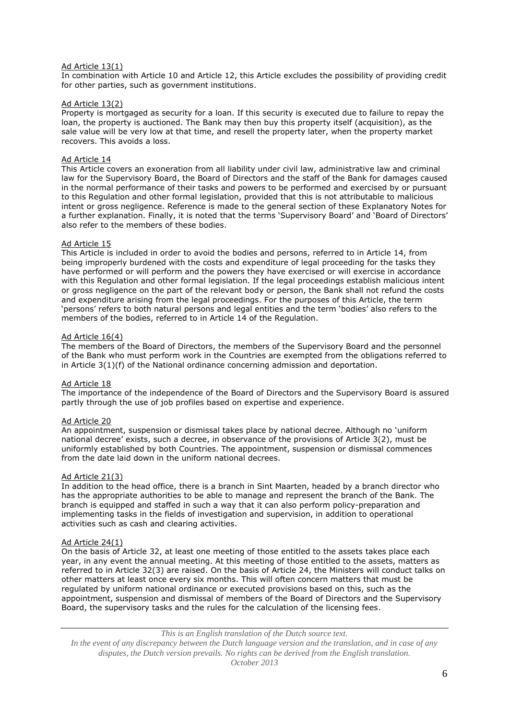### Ad Article 13(1)

In combination with Article 10 and Article 12, this Article excludes the possibility of providing credit for other parties, such as government institutions.

### Ad Article 13(2)

Property is mortgaged as security for a loan. If this security is executed due to failure to repay the loan, the property is auctioned. The Bank may then buy this property itself (acquisition), as the sale value will be very low at that time, and resell the property later, when the property market recovers. This avoids a loss.

#### Ad Article 14

This Article covers an exoneration from all liability under civil law, administrative law and criminal law for the Supervisory Board, the Board of Directors and the staff of the Bank for damages caused in the normal performance of their tasks and powers to be performed and exercised by or pursuant to this Regulation and other formal legislation, provided that this is not attributable to malicious intent or gross negligence. Reference is made to the general section of these Explanatory Notes for a further explanation. Finally, it is noted that the terms 'Supervisory Board' and 'Board of Directors' also refer to the members of these bodies.

### Ad Article 15

This Article is included in order to avoid the bodies and persons, referred to in Article 14, from being improperly burdened with the costs and expenditure of legal proceeding for the tasks they have performed or will perform and the powers they have exercised or will exercise in accordance with this Regulation and other formal legislation. If the legal proceedings establish malicious intent or gross negligence on the part of the relevant body or person, the Bank shall not refund the costs and expenditure arising from the legal proceedings. For the purposes of this Article, the term 'persons' refers to both natural persons and legal entities and the term 'bodies' also refers to the members of the bodies, referred to in Article  $14$  of the Regulation.

### Ad Article 16(4)

The members of the Board of Directors, the members of the Supervisory Board and the personnel of the Bank who must perform work in the Countries are exempted from the obligations referred to in Article 3(1)(f) of the National ordinance concerning admission and deportation.

#### Ad Article 18

The importance of the independence of the Board of Directors and the Supervisory Board is assured partly through the use of job profiles based on expertise and experience.

## Ad Article 20

An appointment, suspension or dismissal takes place by national decree. Although no 'uniform national decree' exists, such a decree, in observance of the provisions of Article 3(2), must be uniformly established by both Countries. The appointment, suspension or dismissal commences from the date laid down in the uniform national decrees.

## Ad Article 21(3)

In addition to the head office, there is a branch in Sint Maarten, headed by a branch director who has the appropriate authorities to be able to manage and represent the branch of the Bank. The branch is equipped and staffed in such a way that it can also perform policy-preparation and implementing tasks in the fields of investigation and supervision, in addition to operational activities such as cash and clearing activities.

#### Ad Article 24(1)

On the basis of Article 32, at least one meeting of those entitled to the assets takes place each year, in any event the annual meeting. At this meeting of those entitled to the assets, matters as referred to in Article 32(3) are raised. On the basis of Article 24, the Ministers will conduct talks on other matters at least once every six months. This will often concern matters that must be regulated by uniform national ordinance or executed provisions based on this, such as the appointment, suspension and dismissal of members of the Board of Directors and the Supervisory Board, the supervisory tasks and the rules for the calculation of the licensing fees.

*This is an English translation of the Dutch source text. In the event of any discrepancy between the Dutch language version and the translation, and in case of any disputes, the Dutch version prevails. No rights can be derived from the English translation. October 2013*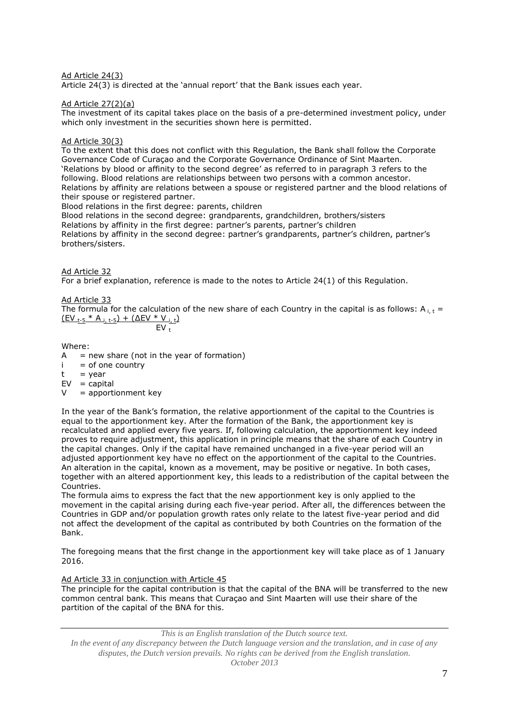# Ad Article 24(3)

Article 24(3) is directed at the 'annual report' that the Bank issues each year.

## Ad Article 27(2)(a)

The investment of its capital takes place on the basis of a pre-determined investment policy, under which only investment in the securities shown here is permitted.

## Ad Article 30(3)

To the extent that this does not conflict with this Regulation, the Bank shall follow the Corporate Governance Code of Curaçao and the Corporate Governance Ordinance of Sint Maarten. 'Relations by blood or affinity to the second degree' as referred to in paragraph 3 refers to the following. Blood relations are relationships between two persons with a common ancestor. Relations by affinity are relations between a spouse or registered partner and the blood relations of their spouse or registered partner.

Blood relations in the first degree: parents, children Blood relations in the second degree: grandparents, grandchildren, brothers/sisters Relations by affinity in the first degree: partner's parents, partner's children

Relations by affinity in the second degree: partner's grandparents, partner's children, partner's brothers/sisters.

Ad Article 32 For a brief explanation, reference is made to the notes to Article 24(1) of this Regulation.

# Ad Article 33

The formula for the calculation of the new share of each Country in the capital is as follows: A<sub>it</sub> =  $(EV_{t-5} * A_{i,t-5}) + (\Delta EV * V_{i,t})$  $E$ V<sub>t</sub>

$$
EV_t
$$

## Where:

 $A = new share (not in the year of formation)$ 

- $i =$  of one country
- $t = year$
- $EV = c$ apital
- $V =$  apportionment key

In the year of the Bank's formation, the relative apportionment of the capital to the Countries is equal to the apportionment key. After the formation of the Bank, the apportionment key is recalculated and applied every five years. If, following calculation, the apportionment key indeed proves to require adjustment, this application in principle means that the share of each Country in the capital changes. Only if the capital have remained unchanged in a five-year period will an adjusted apportionment key have no effect on the apportionment of the capital to the Countries. An alteration in the capital, known as a movement, may be positive or negative. In both cases, together with an altered apportionment key, this leads to a redistribution of the capital between the Countries.

The formula aims to express the fact that the new apportionment key is only applied to the movement in the capital arising during each five-year period. After all, the differences between the Countries in GDP and/or population growth rates only relate to the latest five-year period and did not affect the development of the capital as contributed by both Countries on the formation of the Bank.

The foregoing means that the first change in the apportionment key will take place as of 1 January 2016.

## Ad Article 33 in conjunction with Article 45

The principle for the capital contribution is that the capital of the BNA will be transferred to the new common central bank. This means that Curaçao and Sint Maarten will use their share of the partition of the capital of the BNA for this.

*This is an English translation of the Dutch source text.*